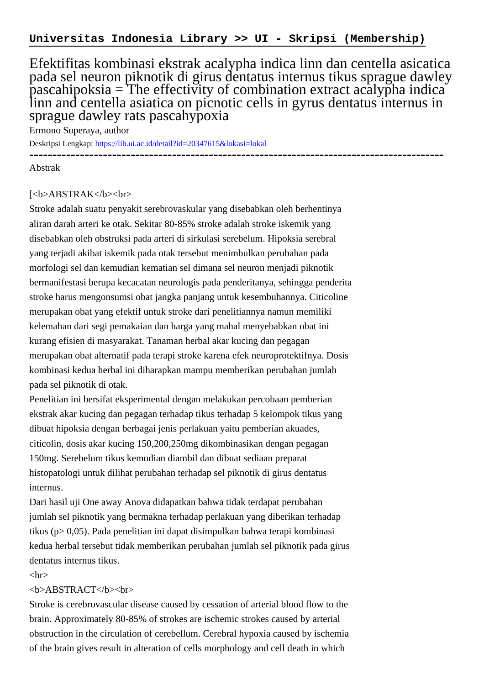Efektifitas kombinasi ekstrak acalypha indica linn dan centella asicatica pada sel neuron piknotik di girus dentatus internus tikus sprague dawley  $p$ ascahipoksia = The effectivity of combination extract acalypha indica linn and centella asiatica on picnotic cells in gyrus dentatus internus in sprague dawley rats pascahypoxia

------------------------------------------------------------------------------------------

Ermono Superaya, author

Deskripsi Lengkap:<https://lib.ui.ac.id/detail?id=20347615&lokasi=lokal>

Abstrak

## [<b>ABSTRAK</b><br>

Stroke adalah suatu penyakit serebrovaskular yang disebabkan oleh berhentinya aliran darah arteri ke otak. Sekitar 80-85% stroke adalah stroke iskemik yang disebabkan oleh obstruksi pada arteri di sirkulasi serebelum. Hipoksia serebral yang terjadi akibat iskemik pada otak tersebut menimbulkan perubahan pada morfologi sel dan kemudian kematian sel dimana sel neuron menjadi piknotik bermanifestasi berupa kecacatan neurologis pada penderitanya, sehingga penderita stroke harus mengonsumsi obat jangka panjang untuk kesembuhannya. Citicoline merupakan obat yang efektif untuk stroke dari penelitiannya namun memiliki kelemahan dari segi pemakaian dan harga yang mahal menyebabkan obat ini kurang efisien di masyarakat. Tanaman herbal akar kucing dan pegagan merupakan obat alternatif pada terapi stroke karena efek neuroprotektifnya. Dosis kombinasi kedua herbal ini diharapkan mampu memberikan perubahan jumlah pada sel piknotik di otak.

Penelitian ini bersifat eksperimental dengan melakukan percobaan pemberian ekstrak akar kucing dan pegagan terhadap tikus terhadap 5 kelompok tikus yang dibuat hipoksia dengan berbagai jenis perlakuan yaitu pemberian akuades, citicolin, dosis akar kucing 150,200,250mg dikombinasikan dengan pegagan 150mg. Serebelum tikus kemudian diambil dan dibuat sediaan preparat histopatologi untuk dilihat perubahan terhadap sel piknotik di girus dentatus internus.

Dari hasil uji One away Anova didapatkan bahwa tidak terdapat perubahan jumlah sel piknotik yang bermakna terhadap perlakuan yang diberikan terhadap tikus ( $p > 0.05$ ). Pada penelitian ini dapat disimpulkan bahwa terapi kombinasi kedua herbal tersebut tidak memberikan perubahan jumlah sel piknotik pada girus dentatus internus tikus.

 $\langle$ hr $>$ 

## <b>ABSTRACT</b><br>

Stroke is cerebrovascular disease caused by cessation of arterial blood flow to the brain. Approximately 80-85% of strokes are ischemic strokes caused by arterial obstruction in the circulation of cerebellum. Cerebral hypoxia caused by ischemia of the brain gives result in alteration of cells morphology and cell death in which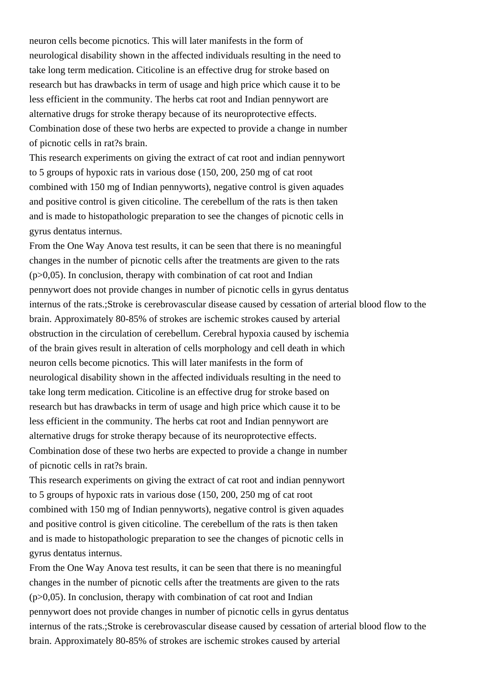neuron cells become picnotics. This will later manifests in the form of neurological disability shown in the affected individuals resulting in the need to take long term medication. Citicoline is an effective drug for stroke based on research but has drawbacks in term of usage and high price which cause it to be less efficient in the community. The herbs cat root and Indian pennywort are alternative drugs for stroke therapy because of its neuroprotective effects. Combination dose of these two herbs are expected to provide a change in number of picnotic cells in rat?s brain.

This research experiments on giving the extract of cat root and indian pennywort to 5 groups of hypoxic rats in various dose (150, 200, 250 mg of cat root combined with 150 mg of Indian pennyworts), negative control is given aquades and positive control is given citicoline. The cerebellum of the rats is then taken and is made to histopathologic preparation to see the changes of picnotic cells in gyrus dentatus internus.

From the One Way Anova test results, it can be seen that there is no meaningful changes in the number of picnotic cells after the treatments are given to the rats  $(p>0,05)$ . In conclusion, therapy with combination of cat root and Indian pennywort does not provide changes in number of picnotic cells in gyrus dentatus internus of the rats.;Stroke is cerebrovascular disease caused by cessation of arterial blood flow to the brain. Approximately 80-85% of strokes are ischemic strokes caused by arterial obstruction in the circulation of cerebellum. Cerebral hypoxia caused by ischemia of the brain gives result in alteration of cells morphology and cell death in which neuron cells become picnotics. This will later manifests in the form of neurological disability shown in the affected individuals resulting in the need to take long term medication. Citicoline is an effective drug for stroke based on research but has drawbacks in term of usage and high price which cause it to be less efficient in the community. The herbs cat root and Indian pennywort are alternative drugs for stroke therapy because of its neuroprotective effects. Combination dose of these two herbs are expected to provide a change in number of picnotic cells in rat?s brain.

This research experiments on giving the extract of cat root and indian pennywort to 5 groups of hypoxic rats in various dose (150, 200, 250 mg of cat root combined with 150 mg of Indian pennyworts), negative control is given aquades and positive control is given citicoline. The cerebellum of the rats is then taken and is made to histopathologic preparation to see the changes of picnotic cells in gyrus dentatus internus.

From the One Way Anova test results, it can be seen that there is no meaningful changes in the number of picnotic cells after the treatments are given to the rats  $(p>0,05)$ . In conclusion, therapy with combination of cat root and Indian pennywort does not provide changes in number of picnotic cells in gyrus dentatus internus of the rats.;Stroke is cerebrovascular disease caused by cessation of arterial blood flow to the brain. Approximately 80-85% of strokes are ischemic strokes caused by arterial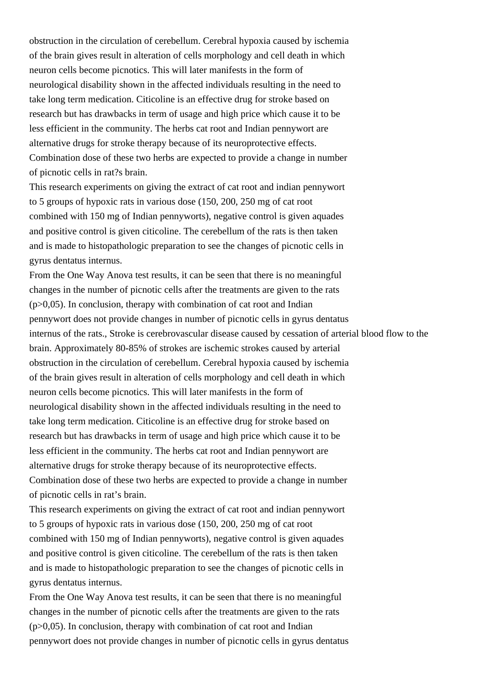obstruction in the circulation of cerebellum. Cerebral hypoxia caused by ischemia of the brain gives result in alteration of cells morphology and cell death in which neuron cells become picnotics. This will later manifests in the form of neurological disability shown in the affected individuals resulting in the need to take long term medication. Citicoline is an effective drug for stroke based on research but has drawbacks in term of usage and high price which cause it to be less efficient in the community. The herbs cat root and Indian pennywort are alternative drugs for stroke therapy because of its neuroprotective effects. Combination dose of these two herbs are expected to provide a change in number of picnotic cells in rat?s brain.

This research experiments on giving the extract of cat root and indian pennywort to 5 groups of hypoxic rats in various dose (150, 200, 250 mg of cat root combined with 150 mg of Indian pennyworts), negative control is given aquades and positive control is given citicoline. The cerebellum of the rats is then taken and is made to histopathologic preparation to see the changes of picnotic cells in gyrus dentatus internus.

From the One Way Anova test results, it can be seen that there is no meaningful changes in the number of picnotic cells after the treatments are given to the rats  $(p>0,05)$ . In conclusion, therapy with combination of cat root and Indian pennywort does not provide changes in number of picnotic cells in gyrus dentatus internus of the rats., Stroke is cerebrovascular disease caused by cessation of arterial blood flow to the brain. Approximately 80-85% of strokes are ischemic strokes caused by arterial obstruction in the circulation of cerebellum. Cerebral hypoxia caused by ischemia of the brain gives result in alteration of cells morphology and cell death in which neuron cells become picnotics. This will later manifests in the form of neurological disability shown in the affected individuals resulting in the need to take long term medication. Citicoline is an effective drug for stroke based on research but has drawbacks in term of usage and high price which cause it to be less efficient in the community. The herbs cat root and Indian pennywort are alternative drugs for stroke therapy because of its neuroprotective effects. Combination dose of these two herbs are expected to provide a change in number of picnotic cells in rat's brain.

This research experiments on giving the extract of cat root and indian pennywort to 5 groups of hypoxic rats in various dose (150, 200, 250 mg of cat root combined with 150 mg of Indian pennyworts), negative control is given aquades and positive control is given citicoline. The cerebellum of the rats is then taken and is made to histopathologic preparation to see the changes of picnotic cells in gyrus dentatus internus.

From the One Way Anova test results, it can be seen that there is no meaningful changes in the number of picnotic cells after the treatments are given to the rats  $(p>0,05)$ . In conclusion, therapy with combination of cat root and Indian pennywort does not provide changes in number of picnotic cells in gyrus dentatus